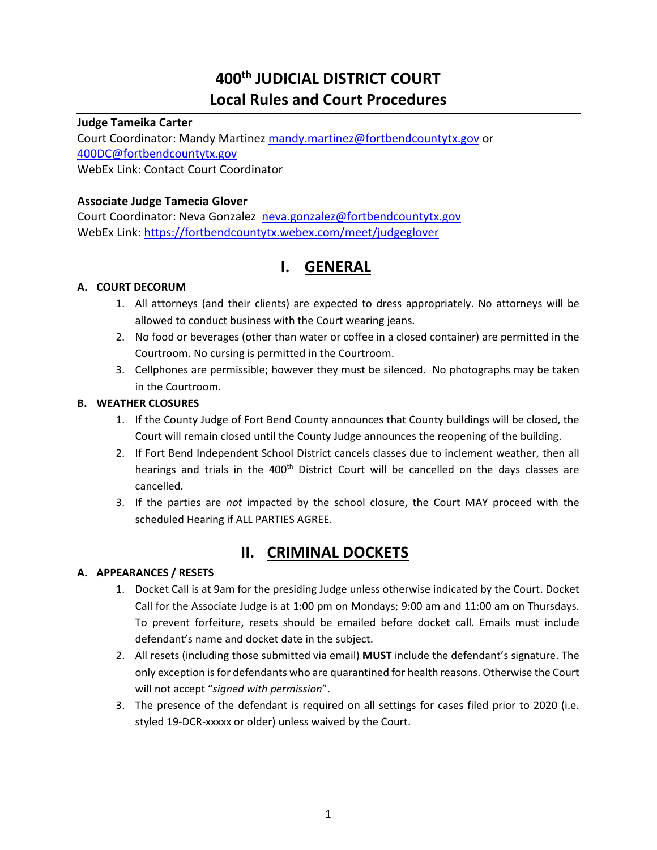# **400th JUDICIAL DISTRICT COURT Local Rules and Court Procedures**

# **Judge Tameika Carter**

Court Coordinator: Mandy Martinez [mandy.martinez@fortbendcountytx.gov](mailto:mandy.martinez@fortbendcountytx.gov) or [400DC@fortbendcountytx.gov](mailto:400DC@fortbendcountytx.gov) WebEx Link: Contact Court Coordinator

# **Associate Judge Tamecia Glover**

Court Coordinator: Neva Gonzalez [neva.gonzalez@fortbendcountytx.gov](mailto:neva.gonzalez@fortbendcountytx.gov) WebEx Link:<https://fortbendcountytx.webex.com/meet/judgeglover>

# **I. GENERAL**

# **A. COURT DECORUM**

- 1. All attorneys (and their clients) are expected to dress appropriately. No attorneys will be allowed to conduct business with the Court wearing jeans.
- 2. No food or beverages (other than water or coffee in a closed container) are permitted in the Courtroom. No cursing is permitted in the Courtroom.
- 3. Cellphones are permissible; however they must be silenced. No photographs may be taken in the Courtroom.

# **B. WEATHER CLOSURES**

- 1. If the County Judge of Fort Bend County announces that County buildings will be closed, the Court will remain closed until the County Judge announces the reopening of the building.
- 2. If Fort Bend Independent School District cancels classes due to inclement weather, then all hearings and trials in the 400<sup>th</sup> District Court will be cancelled on the days classes are cancelled.
- 3. If the parties are *not* impacted by the school closure, the Court MAY proceed with the scheduled Hearing if ALL PARTIES AGREE.

# **II. CRIMINAL DOCKETS**

# **A. APPEARANCES / RESETS**

- 1. Docket Call is at 9am for the presiding Judge unless otherwise indicated by the Court. Docket Call for the Associate Judge is at 1:00 pm on Mondays; 9:00 am and 11:00 am on Thursdays. To prevent forfeiture, resets should be emailed before docket call. Emails must include defendant's name and docket date in the subject.
- 2. All resets (including those submitted via email) **MUST** include the defendant's signature. The only exception is for defendants who are quarantined for health reasons. Otherwise the Court will not accept "*signed with permission*".
- 3. The presence of the defendant is required on all settings for cases filed prior to 2020 (i.e. styled 19-DCR-xxxxx or older) unless waived by the Court.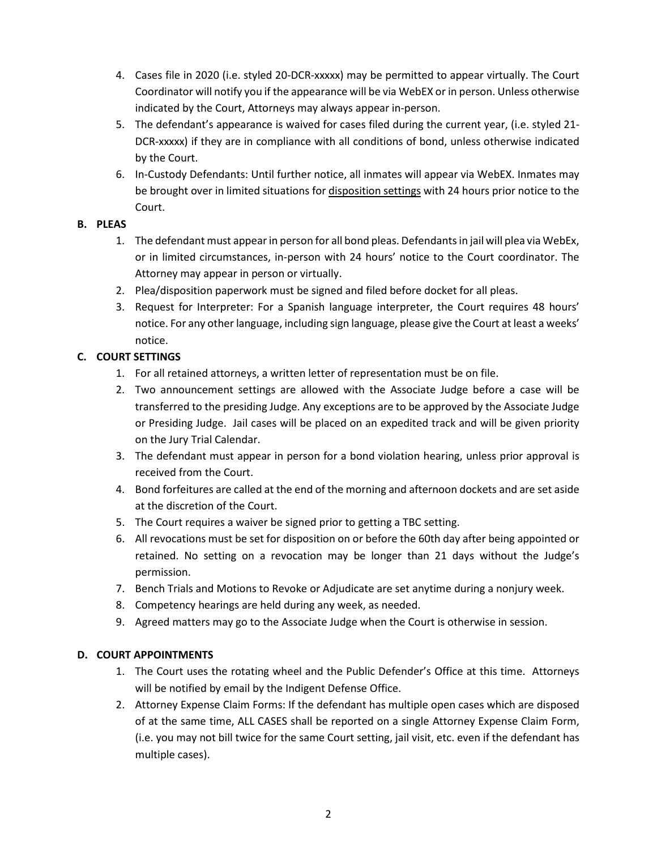- 4. Cases file in 2020 (i.e. styled 20-DCR-xxxxx) may be permitted to appear virtually. The Court Coordinator will notify you if the appearance will be via WebEX or in person. Unless otherwise indicated by the Court, Attorneys may always appear in-person.
- 5. The defendant's appearance is waived for cases filed during the current year, (i.e. styled 21- DCR-xxxxx) if they are in compliance with all conditions of bond, unless otherwise indicated by the Court.
- 6. In-Custody Defendants: Until further notice, all inmates will appear via WebEX. Inmates may be brought over in limited situations for disposition settings with 24 hours prior notice to the Court.

# **B. PLEAS**

- 1. The defendant must appear in person for all bond pleas. Defendants in jail will plea via WebEx, or in limited circumstances, in-person with 24 hours' notice to the Court coordinator. The Attorney may appear in person or virtually.
- 2. Plea/disposition paperwork must be signed and filed before docket for all pleas.
- 3. Request for Interpreter: For a Spanish language interpreter, the Court requires 48 hours' notice. For any other language, including sign language, please give the Court at least a weeks' notice.

# **C. COURT SETTINGS**

- 1. For all retained attorneys, a written letter of representation must be on file.
- 2. Two announcement settings are allowed with the Associate Judge before a case will be transferred to the presiding Judge. Any exceptions are to be approved by the Associate Judge or Presiding Judge. Jail cases will be placed on an expedited track and will be given priority on the Jury Trial Calendar.
- 3. The defendant must appear in person for a bond violation hearing, unless prior approval is received from the Court.
- 4. Bond forfeitures are called at the end of the morning and afternoon dockets and are set aside at the discretion of the Court.
- 5. The Court requires a waiver be signed prior to getting a TBC setting.
- 6. All revocations must be set for disposition on or before the 60th day after being appointed or retained. No setting on a revocation may be longer than 21 days without the Judge's permission.
- 7. Bench Trials and Motions to Revoke or Adjudicate are set anytime during a nonjury week.
- 8. Competency hearings are held during any week, as needed.
- 9. Agreed matters may go to the Associate Judge when the Court is otherwise in session.

## **D. COURT APPOINTMENTS**

- 1. The Court uses the rotating wheel and the Public Defender's Office at this time. Attorneys will be notified by email by the Indigent Defense Office.
- 2. Attorney Expense Claim Forms: If the defendant has multiple open cases which are disposed of at the same time, ALL CASES shall be reported on a single Attorney Expense Claim Form, (i.e. you may not bill twice for the same Court setting, jail visit, etc. even if the defendant has multiple cases).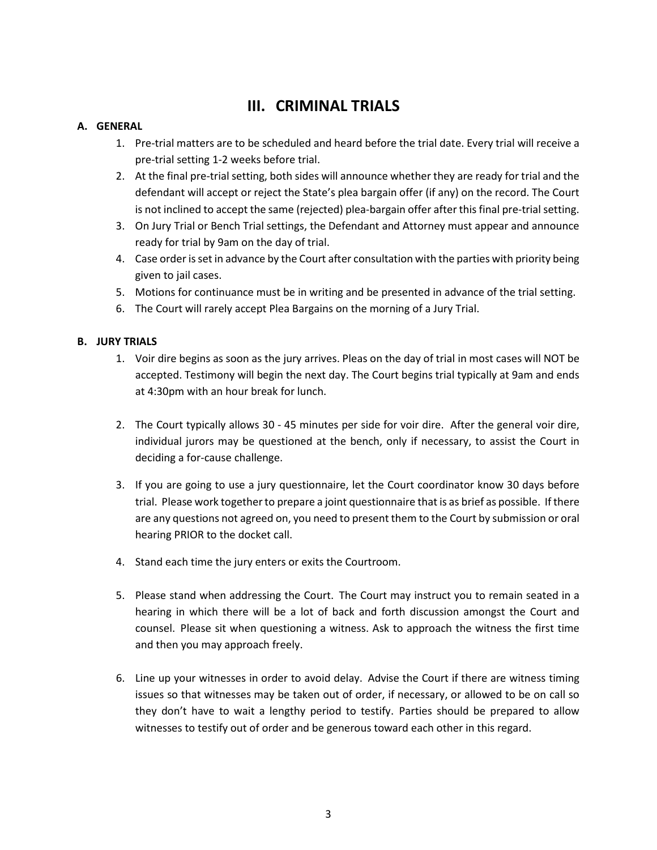# **III. CRIMINAL TRIALS**

# **A. GENERAL**

- 1. Pre-trial matters are to be scheduled and heard before the trial date. Every trial will receive a pre-trial setting 1-2 weeks before trial.
- 2. At the final pre-trial setting, both sides will announce whether they are ready for trial and the defendant will accept or reject the State's plea bargain offer (if any) on the record. The Court is not inclined to accept the same (rejected) plea-bargain offer after this final pre-trial setting.
- 3. On Jury Trial or Bench Trial settings, the Defendant and Attorney must appear and announce ready for trial by 9am on the day of trial.
- 4. Case order is set in advance by the Court after consultation with the parties with priority being given to jail cases.
- 5. Motions for continuance must be in writing and be presented in advance of the trial setting.
- 6. The Court will rarely accept Plea Bargains on the morning of a Jury Trial.

### **B. JURY TRIALS**

- 1. Voir dire begins as soon as the jury arrives. Pleas on the day of trial in most cases will NOT be accepted. Testimony will begin the next day. The Court begins trial typically at 9am and ends at 4:30pm with an hour break for lunch.
- 2. The Court typically allows 30 45 minutes per side for voir dire. After the general voir dire, individual jurors may be questioned at the bench, only if necessary, to assist the Court in deciding a for-cause challenge.
- 3. If you are going to use a jury questionnaire, let the Court coordinator know 30 days before trial. Please work together to prepare a joint questionnaire that is as brief as possible. If there are any questions not agreed on, you need to present them to the Court by submission or oral hearing PRIOR to the docket call.
- 4. Stand each time the jury enters or exits the Courtroom.
- 5. Please stand when addressing the Court. The Court may instruct you to remain seated in a hearing in which there will be a lot of back and forth discussion amongst the Court and counsel. Please sit when questioning a witness. Ask to approach the witness the first time and then you may approach freely.
- 6. Line up your witnesses in order to avoid delay. Advise the Court if there are witness timing issues so that witnesses may be taken out of order, if necessary, or allowed to be on call so they don't have to wait a lengthy period to testify. Parties should be prepared to allow witnesses to testify out of order and be generous toward each other in this regard.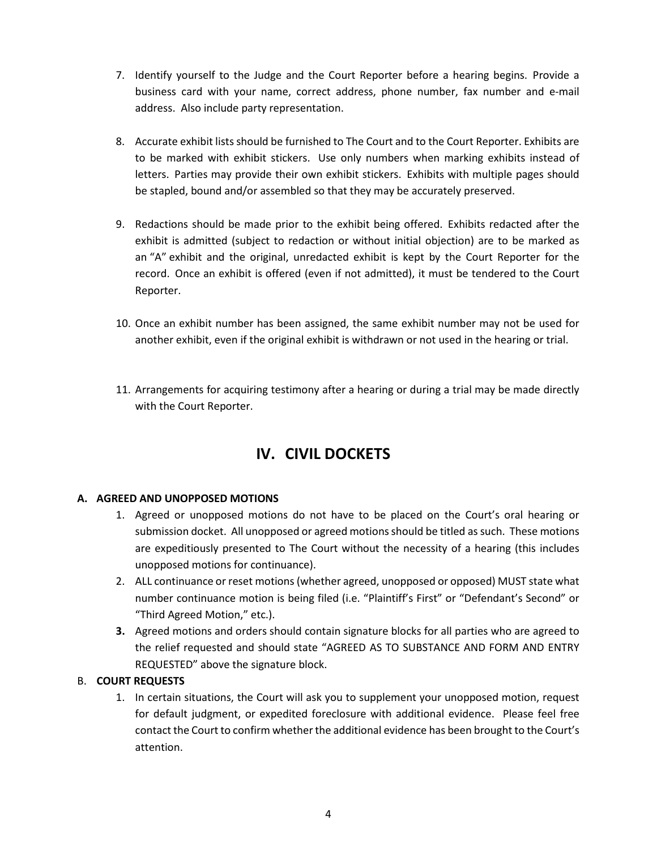- 7. Identify yourself to the Judge and the Court Reporter before a hearing begins. Provide a business card with your name, correct address, phone number, fax number and e-mail address. Also include party representation.
- 8. Accurate exhibit lists should be furnished to The Court and to the Court Reporter. Exhibits are to be marked with exhibit stickers. Use only numbers when marking exhibits instead of letters. Parties may provide their own exhibit stickers. Exhibits with multiple pages should be stapled, bound and/or assembled so that they may be accurately preserved.
- 9. Redactions should be made prior to the exhibit being offered. Exhibits redacted after the exhibit is admitted (subject to redaction or without initial objection) are to be marked as an "A" exhibit and the original, unredacted exhibit is kept by the Court Reporter for the record. Once an exhibit is offered (even if not admitted), it must be tendered to the Court Reporter.
- 10. Once an exhibit number has been assigned, the same exhibit number may not be used for another exhibit, even if the original exhibit is withdrawn or not used in the hearing or trial.
- 11. Arrangements for acquiring testimony after a hearing or during a trial may be made directly with the Court Reporter.

# **IV. CIVIL DOCKETS**

## **A. AGREED AND UNOPPOSED MOTIONS**

- 1. Agreed or unopposed motions do not have to be placed on the Court's oral hearing or submission docket. All unopposed or agreed motions should be titled as such. These motions are expeditiously presented to The Court without the necessity of a hearing (this includes unopposed motions for continuance).
- 2. ALL continuance or reset motions (whether agreed, unopposed or opposed) MUST state what number continuance motion is being filed (i.e. "Plaintiff's First" or "Defendant's Second" or "Third Agreed Motion," etc.).
- **3.** Agreed motions and orders should contain signature blocks for all parties who are agreed to the relief requested and should state "AGREED AS TO SUBSTANCE AND FORM AND ENTRY REQUESTED" above the signature block.

## B. **COURT REQUESTS**

1. In certain situations, the Court will ask you to supplement your unopposed motion, request for default judgment, or expedited foreclosure with additional evidence. Please feel free contact the Court to confirm whether the additional evidence has been brought to the Court's attention.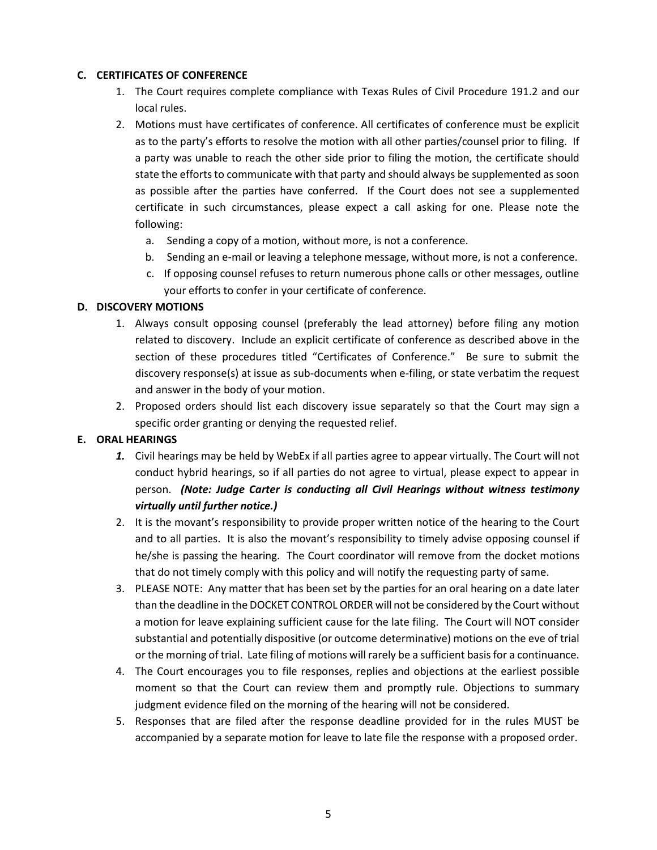#### **C. CERTIFICATES OF CONFERENCE**

- 1. The Court requires complete compliance with Texas Rules of Civil Procedure 191.2 and our local rules.
- 2. Motions must have certificates of conference. All certificates of conference must be explicit as to the party's efforts to resolve the motion with all other parties/counsel prior to filing. If a party was unable to reach the other side prior to filing the motion, the certificate should state the efforts to communicate with that party and should always be supplemented as soon as possible after the parties have conferred. If the Court does not see a supplemented certificate in such circumstances, please expect a call asking for one. Please note the following:
	- a. Sending a copy of a motion, without more, is not a conference.
	- b. Sending an e-mail or leaving a telephone message, without more, is not a conference.
	- c. If opposing counsel refuses to return numerous phone calls or other messages, outline your efforts to confer in your certificate of conference.

#### **D. DISCOVERY MOTIONS**

- 1. Always consult opposing counsel (preferably the lead attorney) before filing any motion related to discovery. Include an explicit certificate of conference as described above in the section of these procedures titled "Certificates of Conference." Be sure to submit the discovery response(s) at issue as sub-documents when e-filing, or state verbatim the request and answer in the body of your motion.
- 2. Proposed orders should list each discovery issue separately so that the Court may sign a specific order granting or denying the requested relief.

## **E. ORAL HEARINGS**

- *1.* Civil hearings may be held by WebEx if all parties agree to appear virtually. The Court will not conduct hybrid hearings, so if all parties do not agree to virtual, please expect to appear in person. *(Note: Judge Carter is conducting all Civil Hearings without witness testimony virtually until further notice.)*
- 2. It is the movant's responsibility to provide proper written notice of the hearing to the Court and to all parties. It is also the movant's responsibility to timely advise opposing counsel if he/she is passing the hearing. The Court coordinator will remove from the docket motions that do not timely comply with this policy and will notify the requesting party of same.
- 3. PLEASE NOTE: Any matter that has been set by the parties for an oral hearing on a date later than the deadline in the DOCKET CONTROL ORDER will not be considered by the Court without a motion for leave explaining sufficient cause for the late filing. The Court will NOT consider substantial and potentially dispositive (or outcome determinative) motions on the eve of trial or the morning of trial. Late filing of motions will rarely be a sufficient basis for a continuance.
- 4. The Court encourages you to file responses, replies and objections at the earliest possible moment so that the Court can review them and promptly rule. Objections to summary judgment evidence filed on the morning of the hearing will not be considered.
- 5. Responses that are filed after the response deadline provided for in the rules MUST be accompanied by a separate motion for leave to late file the response with a proposed order.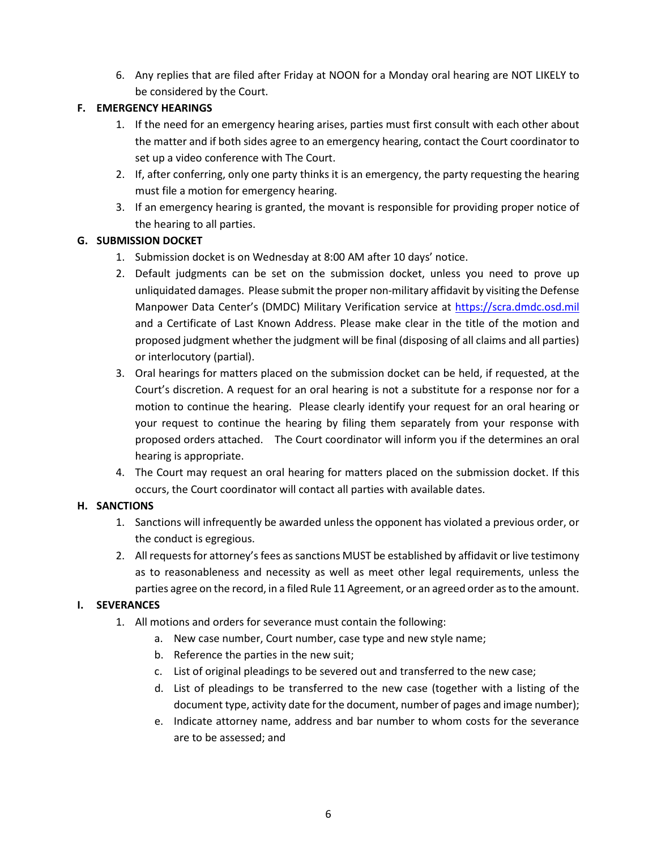6. Any replies that are filed after Friday at NOON for a Monday oral hearing are NOT LIKELY to be considered by the Court.

# **F. EMERGENCY HEARINGS**

- 1. If the need for an emergency hearing arises, parties must first consult with each other about the matter and if both sides agree to an emergency hearing, contact the Court coordinator to set up a video conference with The Court.
- 2. If, after conferring, only one party thinks it is an emergency, the party requesting the hearing must file a motion for emergency hearing.
- 3. If an emergency hearing is granted, the movant is responsible for providing proper notice of the hearing to all parties.

# **G. SUBMISSION DOCKET**

- 1. Submission docket is on Wednesday at 8:00 AM after 10 days' notice.
- 2. Default judgments can be set on the submission docket, unless you need to prove up unliquidated damages. Please submit the proper non-military affidavit by visiting the Defense Manpower Data Center's (DMDC) Military Verification service at [https://scra.dmdc.osd.mil](https://scra.dmdc.osd.mil/) and a Certificate of Last Known Address. Please make clear in the title of the motion and proposed judgment whether the judgment will be final (disposing of all claims and all parties) or interlocutory (partial).
- 3. Oral hearings for matters placed on the submission docket can be held, if requested, at the Court's discretion. A request for an oral hearing is not a substitute for a response nor for a motion to continue the hearing. Please clearly identify your request for an oral hearing or your request to continue the hearing by filing them separately from your response with proposed orders attached. The Court coordinator will inform you if the determines an oral hearing is appropriate.
- 4. The Court may request an oral hearing for matters placed on the submission docket. If this occurs, the Court coordinator will contact all parties with available dates.

# **H. SANCTIONS**

- 1. Sanctions will infrequently be awarded unless the opponent has violated a previous order, or the conduct is egregious.
- 2. All requests for attorney's fees as sanctions MUST be established by affidavit or live testimony as to reasonableness and necessity as well as meet other legal requirements, unless the parties agree on the record, in a filed Rule 11 Agreement, or an agreed order as to the amount.

# **I. SEVERANCES**

- 1. All motions and orders for severance must contain the following:
	- a. New case number, Court number, case type and new style name;
	- b. Reference the parties in the new suit;
	- c. List of original pleadings to be severed out and transferred to the new case;
	- d. List of pleadings to be transferred to the new case (together with a listing of the document type, activity date for the document, number of pages and image number);
	- e. Indicate attorney name, address and bar number to whom costs for the severance are to be assessed; and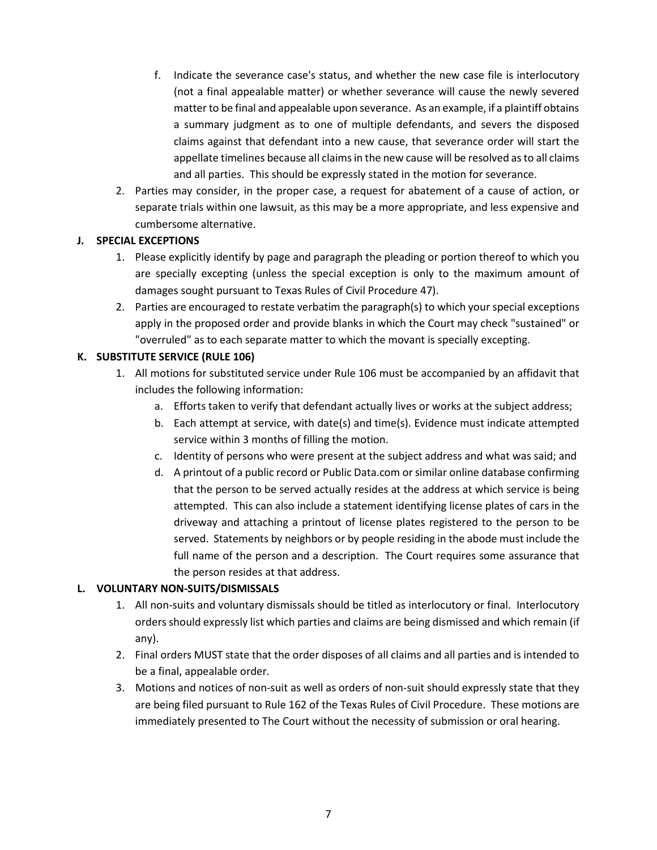- f. Indicate the severance case's status, and whether the new case file is interlocutory (not a final appealable matter) or whether severance will cause the newly severed matter to be final and appealable upon severance. As an example, if a plaintiff obtains a summary judgment as to one of multiple defendants, and severs the disposed claims against that defendant into a new cause, that severance order will start the appellate timelines because all claims in the new cause will be resolved as to all claims and all parties. This should be expressly stated in the motion for severance.
- 2. Parties may consider, in the proper case, a request for abatement of a cause of action, or separate trials within one lawsuit, as this may be a more appropriate, and less expensive and cumbersome alternative.

#### **J. SPECIAL EXCEPTIONS**

- 1. Please explicitly identify by page and paragraph the pleading or portion thereof to which you are specially excepting (unless the special exception is only to the maximum amount of damages sought pursuant to Texas Rules of Civil Procedure 47).
- 2. Parties are encouraged to restate verbatim the paragraph(s) to which your special exceptions apply in the proposed order and provide blanks in which the Court may check "sustained" or "overruled" as to each separate matter to which the movant is specially excepting.

## **K. SUBSTITUTE SERVICE (RULE 106)**

- 1. All motions for substituted service under Rule 106 must be accompanied by an affidavit that includes the following information:
	- a. Efforts taken to verify that defendant actually lives or works at the subject address;
	- b. Each attempt at service, with date(s) and time(s). Evidence must indicate attempted service within 3 months of filling the motion.
	- c. Identity of persons who were present at the subject address and what was said; and
	- d. A printout of a public record or Public Data.com or similar online database confirming that the person to be served actually resides at the address at which service is being attempted. This can also include a statement identifying license plates of cars in the driveway and attaching a printout of license plates registered to the person to be served. Statements by neighbors or by people residing in the abode must include the full name of the person and a description. The Court requires some assurance that the person resides at that address.

## **L. VOLUNTARY NON-SUITS/DISMISSALS**

- 1. All non-suits and voluntary dismissals should be titled as interlocutory or final. Interlocutory orders should expressly list which parties and claims are being dismissed and which remain (if any).
- 2. Final orders MUST state that the order disposes of all claims and all parties and is intended to be a final, appealable order.
- 3. Motions and notices of non-suit as well as orders of non-suit should expressly state that they are being filed pursuant to Rule 162 of the Texas Rules of Civil Procedure. These motions are immediately presented to The Court without the necessity of submission or oral hearing.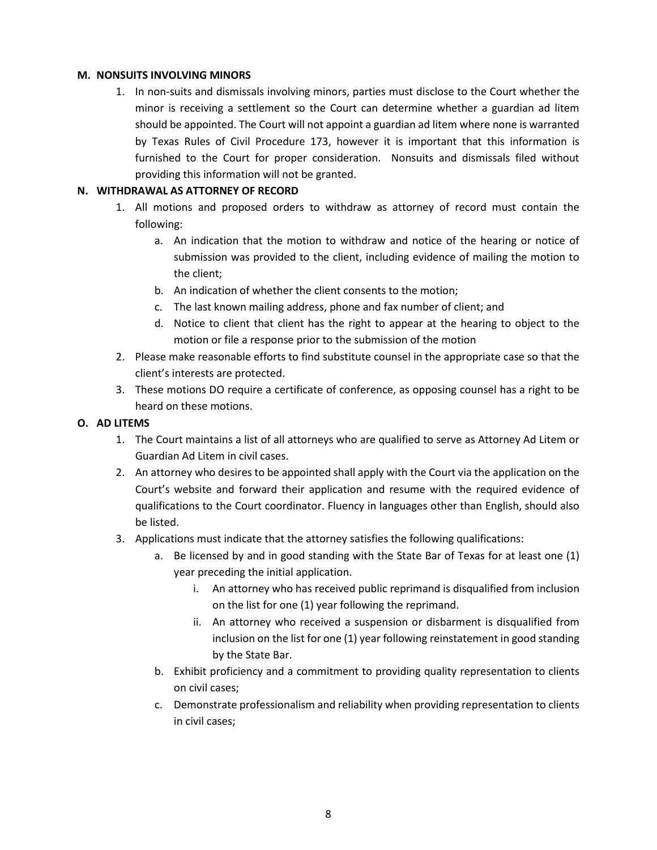#### **M. NONSUITS INVOLVING MINORS**

1. In non-suits and dismissals involving minors, parties must disclose to the Court whether the minor is receiving a settlement so the Court can determine whether a guardian ad litem should be appointed. The Court will not appoint a guardian ad litem where none is warranted by Texas Rules of Civil Procedure 173, however it is important that this information is furnished to the Court for proper consideration. Nonsuits and dismissals filed without providing this information will not be granted.

## **N. WITHDRAWAL AS ATTORNEY OF RECORD**

- 1. All motions and proposed orders to withdraw as attorney of record must contain the following:
	- a. An indication that the motion to withdraw and notice of the hearing or notice of submission was provided to the client, including evidence of mailing the motion to the client;
	- b. An indication of whether the client consents to the motion;
	- c. The last known mailing address, phone and fax number of client; and
	- d. Notice to client that client has the right to appear at the hearing to object to the motion or file a response prior to the submission of the motion
- 2. Please make reasonable efforts to find substitute counsel in the appropriate case so that the client's interests are protected.
- 3. These motions DO require a certificate of conference, as opposing counsel has a right to be heard on these motions.

### **O. AD LITEMS**

- 1. The Court maintains a list of all attorneys who are qualified to serve as Attorney Ad Litem or Guardian Ad Litem in civil cases.
- 2. An attorney who desires to be appointed shall apply with the Court via the application on the Court's website and forward their application and resume with the required evidence of qualifications to the Court coordinator. Fluency in languages other than English, should also be listed.
- 3. Applications must indicate that the attorney satisfies the following qualifications:
	- a. Be licensed by and in good standing with the State Bar of Texas for at least one (1) year preceding the initial application.
		- i. An attorney who has received public reprimand is disqualified from inclusion on the list for one (1) year following the reprimand.
		- ii. An attorney who received a suspension or disbarment is disqualified from inclusion on the list for one (1) year following reinstatement in good standing by the State Bar.
	- b. Exhibit proficiency and a commitment to providing quality representation to clients on civil cases;
	- c. Demonstrate professionalism and reliability when providing representation to clients in civil cases;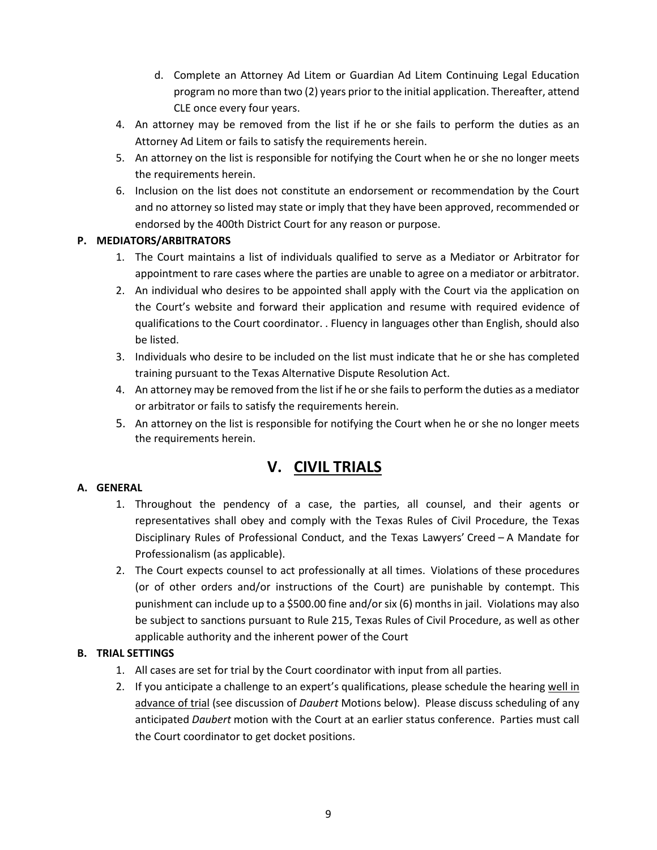- d. Complete an Attorney Ad Litem or Guardian Ad Litem Continuing Legal Education program no more than two (2) years prior to the initial application. Thereafter, attend CLE once every four years.
- 4. An attorney may be removed from the list if he or she fails to perform the duties as an Attorney Ad Litem or fails to satisfy the requirements herein.
- 5. An attorney on the list is responsible for notifying the Court when he or she no longer meets the requirements herein.
- 6. Inclusion on the list does not constitute an endorsement or recommendation by the Court and no attorney so listed may state or imply that they have been approved, recommended or endorsed by the 400th District Court for any reason or purpose.

## **P. MEDIATORS/ARBITRATORS**

- 1. The Court maintains a list of individuals qualified to serve as a Mediator or Arbitrator for appointment to rare cases where the parties are unable to agree on a mediator or arbitrator.
- 2. An individual who desires to be appointed shall apply with the Court via the application on the Court's website and forward their application and resume with required evidence of qualifications to the Court coordinator. . Fluency in languages other than English, should also be listed.
- 3. Individuals who desire to be included on the list must indicate that he or she has completed training pursuant to the Texas Alternative Dispute Resolution Act.
- 4. An attorney may be removed from the list if he or she fails to perform the duties as a mediator or arbitrator or fails to satisfy the requirements herein.
- 5. An attorney on the list is responsible for notifying the Court when he or she no longer meets the requirements herein.

# **V. CIVIL TRIALS**

#### **A. GENERAL**

- 1. Throughout the pendency of a case, the parties, all counsel, and their agents or representatives shall obey and comply with the Texas Rules of Civil Procedure, the Texas Disciplinary Rules of Professional Conduct, and the Texas Lawyers' Creed – A Mandate for Professionalism (as applicable).
- 2. The Court expects counsel to act professionally at all times. Violations of these procedures (or of other orders and/or instructions of the Court) are punishable by contempt. This punishment can include up to a \$500.00 fine and/or six (6) months in jail. Violations may also be subject to sanctions pursuant to Rule 215, Texas Rules of Civil Procedure, as well as other applicable authority and the inherent power of the Court

#### **B. TRIAL SETTINGS**

- 1. All cases are set for trial by the Court coordinator with input from all parties.
- 2. If you anticipate a challenge to an expert's qualifications, please schedule the hearing well in advance of trial (see discussion of *Daubert* Motions below). Please discuss scheduling of any anticipated *Daubert* motion with the Court at an earlier status conference. Parties must call the Court coordinator to get docket positions.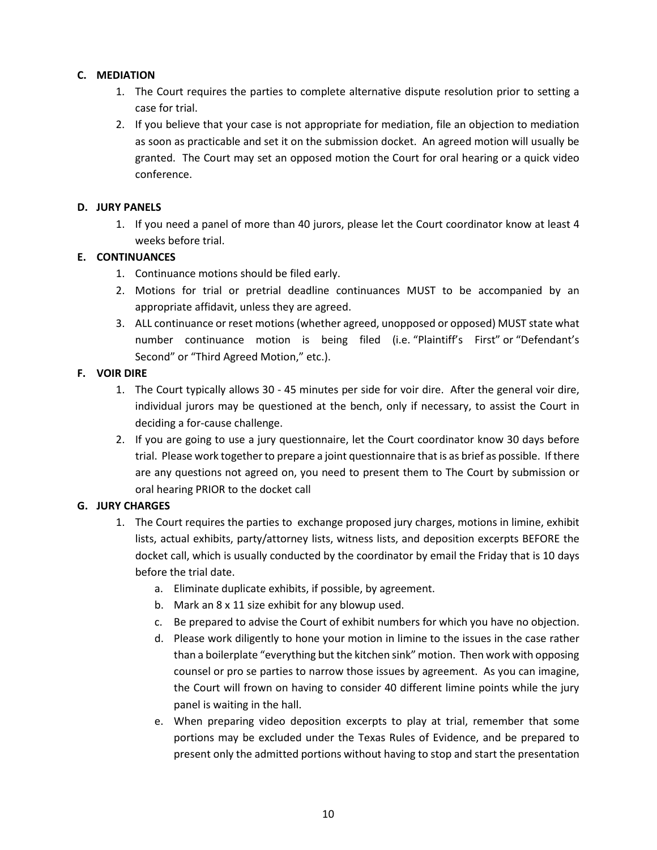### **C. MEDIATION**

- 1. The Court requires the parties to complete alternative dispute resolution prior to setting a case for trial.
- 2. If you believe that your case is not appropriate for mediation, file an objection to mediation as soon as practicable and set it on the submission docket. An agreed motion will usually be granted. The Court may set an opposed motion the Court for oral hearing or a quick video conference.

#### **D. JURY PANELS**

1. If you need a panel of more than 40 jurors, please let the Court coordinator know at least 4 weeks before trial.

#### **E. CONTINUANCES**

- 1. Continuance motions should be filed early.
- 2. Motions for trial or pretrial deadline continuances MUST to be accompanied by an appropriate affidavit, unless they are agreed.
- 3. ALL continuance or reset motions (whether agreed, unopposed or opposed) MUST state what number continuance motion is being filed (i.e. "Plaintiff's First" or "Defendant's Second" or "Third Agreed Motion," etc.).

#### **F. VOIR DIRE**

- 1. The Court typically allows 30 45 minutes per side for voir dire. After the general voir dire, individual jurors may be questioned at the bench, only if necessary, to assist the Court in deciding a for-cause challenge.
- 2. If you are going to use a jury questionnaire, let the Court coordinator know 30 days before trial. Please work together to prepare a joint questionnaire that is as brief as possible. If there are any questions not agreed on, you need to present them to The Court by submission or oral hearing PRIOR to the docket call

## **G. JURY CHARGES**

- 1. The Court requires the parties to exchange proposed jury charges, motions in limine, exhibit lists, actual exhibits, party/attorney lists, witness lists, and deposition excerpts BEFORE the docket call, which is usually conducted by the coordinator by email the Friday that is 10 days before the trial date.
	- a. Eliminate duplicate exhibits, if possible, by agreement.
	- b. Mark an 8 x 11 size exhibit for any blowup used.
	- c. Be prepared to advise the Court of exhibit numbers for which you have no objection.
	- d. Please work diligently to hone your motion in limine to the issues in the case rather than a boilerplate "everything but the kitchen sink" motion. Then work with opposing counsel or pro se parties to narrow those issues by agreement. As you can imagine, the Court will frown on having to consider 40 different limine points while the jury panel is waiting in the hall.
	- e. When preparing video deposition excerpts to play at trial, remember that some portions may be excluded under the Texas Rules of Evidence, and be prepared to present only the admitted portions without having to stop and start the presentation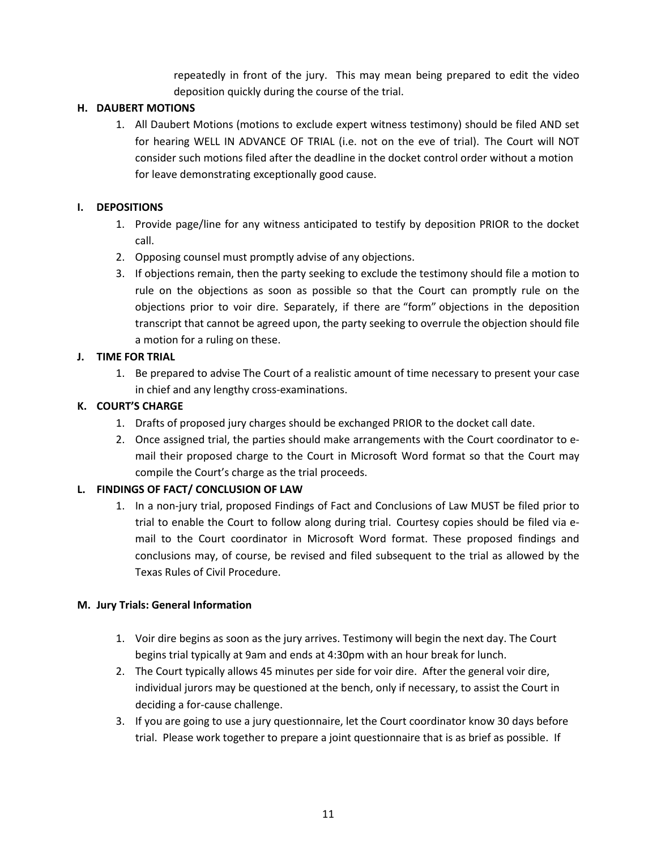repeatedly in front of the jury. This may mean being prepared to edit the video deposition quickly during the course of the trial.

## **H. DAUBERT MOTIONS**

1. All Daubert Motions (motions to exclude expert witness testimony) should be filed AND set for hearing WELL IN ADVANCE OF TRIAL (i.e. not on the eve of trial). The Court will NOT consider such motions filed after the deadline in the docket control order without a motion for leave demonstrating exceptionally good cause.

#### **I. DEPOSITIONS**

- 1. Provide page/line for any witness anticipated to testify by deposition PRIOR to the docket call.
- 2. Opposing counsel must promptly advise of any objections.
- 3. If objections remain, then the party seeking to exclude the testimony should file a motion to rule on the objections as soon as possible so that the Court can promptly rule on the objections prior to voir dire. Separately, if there are "form" objections in the deposition transcript that cannot be agreed upon, the party seeking to overrule the objection should file a motion for a ruling on these.

## **J. TIME FOR TRIAL**

1. Be prepared to advise The Court of a realistic amount of time necessary to present your case in chief and any lengthy cross-examinations.

## **K. COURT'S CHARGE**

- 1. Drafts of proposed jury charges should be exchanged PRIOR to the docket call date.
- 2. Once assigned trial, the parties should make arrangements with the Court coordinator to email their proposed charge to the Court in Microsoft Word format so that the Court may compile the Court's charge as the trial proceeds.

## **L. FINDINGS OF FACT/ CONCLUSION OF LAW**

1. In a non-jury trial, proposed Findings of Fact and Conclusions of Law MUST be filed prior to trial to enable the Court to follow along during trial. Courtesy copies should be filed via email to the Court coordinator in Microsoft Word format. These proposed findings and conclusions may, of course, be revised and filed subsequent to the trial as allowed by the Texas Rules of Civil Procedure.

#### **M. Jury Trials: General Information**

- 1. Voir dire begins as soon as the jury arrives. Testimony will begin the next day. The Court begins trial typically at 9am and ends at 4:30pm with an hour break for lunch.
- 2. The Court typically allows 45 minutes per side for voir dire. After the general voir dire, individual jurors may be questioned at the bench, only if necessary, to assist the Court in deciding a for-cause challenge.
- 3. If you are going to use a jury questionnaire, let the Court coordinator know 30 days before trial. Please work together to prepare a joint questionnaire that is as brief as possible. If